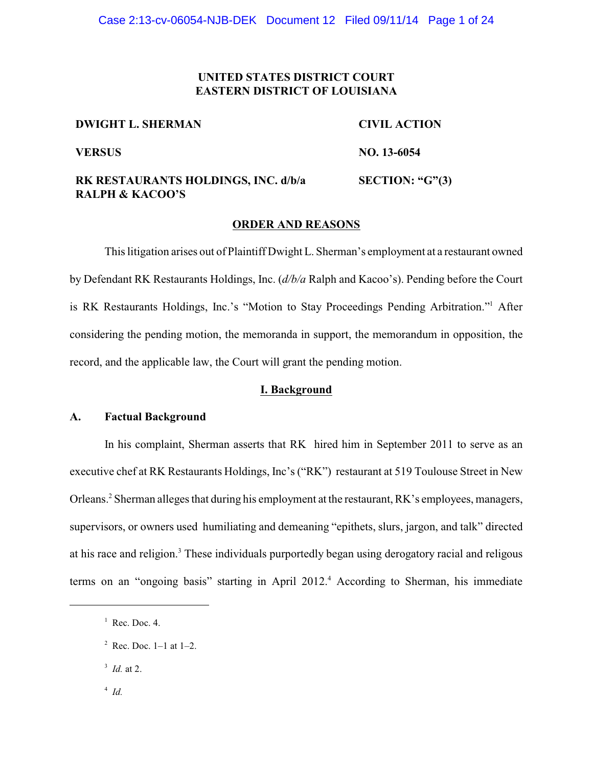## **UNITED STATES DISTRICT COURT EASTERN DISTRICT OF LOUISIANA**

**DWIGHT L. SHERMAN CIVIL ACTION**

**VERSUS NO. 13-6054**

**RK RESTAURANTS HOLDINGS, INC. d/b/a RALPH & KACOO'S**

**SECTION: "G"(3)**

#### **ORDER AND REASONS**

This litigation arises out of Plaintiff Dwight L. Sherman's employment at a restaurant owned by Defendant RK Restaurants Holdings, Inc. (*d/b/a* Ralph and Kacoo's). Pending before the Court is RK Restaurants Holdings, Inc.'s "Motion to Stay Proceedings Pending Arbitration."<sup>1</sup> After considering the pending motion, the memoranda in support, the memorandum in opposition, the record, and the applicable law, the Court will grant the pending motion.

## **I. Background**

### **A. Factual Background**

In his complaint, Sherman asserts that RK hired him in September 2011 to serve as an executive chef at RK Restaurants Holdings, Inc's ("RK") restaurant at 519 Toulouse Street in New Orleans.<sup>2</sup> Sherman alleges that during his employment at the restaurant, RK's employees, managers, supervisors, or owners used humiliating and demeaning "epithets, slurs, jargon, and talk" directed at his race and religion.<sup>3</sup> These individuals purportedly began using derogatory racial and religous terms on an "ongoing basis" starting in April 2012.<sup>4</sup> According to Sherman, his immediate

- 3 *Id.* at 2.
- 4 *Id.*

 $<sup>1</sup>$  Rec. Doc. 4.</sup>

 $2$  Rec. Doc. 1–1 at 1–2.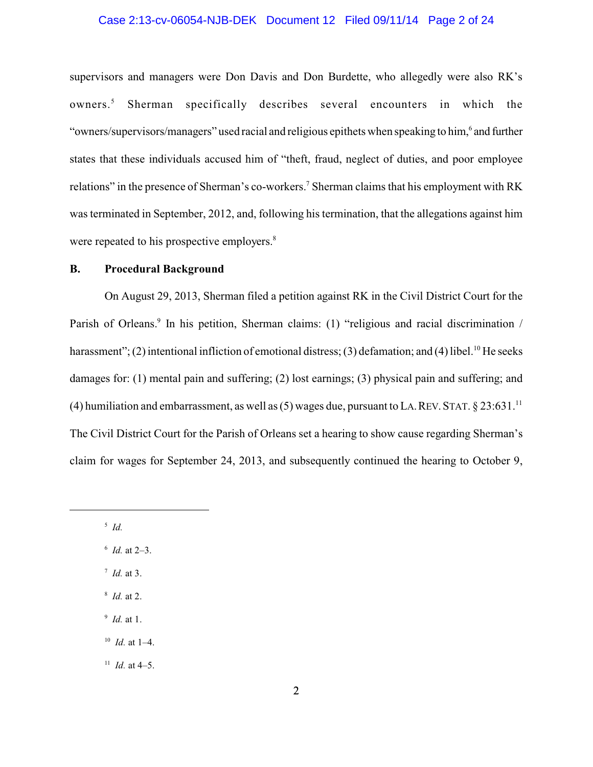#### Case 2:13-cv-06054-NJB-DEK Document 12 Filed 09/11/14 Page 2 of 24

supervisors and managers were Don Davis and Don Burdette, who allegedly were also RK's owners. <sup>5</sup> Sherman specifically describes several encounters in which the "owners/supervisors/managers" used racial and religious epithets when speaking to him, 6 and further states that these individuals accused him of "theft, fraud, neglect of duties, and poor employee relations" in the presence of Sherman's co-workers.<sup>7</sup> Sherman claims that his employment with RK was terminated in September, 2012, and, following his termination, that the allegations against him were repeated to his prospective employers.<sup>8</sup>

### **B. Procedural Background**

On August 29, 2013, Sherman filed a petition against RK in the Civil District Court for the Parish of Orleans.<sup>9</sup> In his petition, Sherman claims: (1) "religious and racial discrimination / harassment"; (2) intentional infliction of emotional distress; (3) defamation; and (4) libel.<sup>10</sup> He seeks damages for: (1) mental pain and suffering; (2) lost earnings; (3) physical pain and suffering; and (4) humiliation and embarrassment, as well as (5) wages due, pursuant to LA. REV. STAT.  $\S$  23:631.<sup>11</sup> The Civil District Court for the Parish of Orleans set a hearing to show cause regarding Sherman's claim for wages for September 24, 2013, and subsequently continued the hearing to October 9,

5 *Id.* 

- 6 *Id.* at 2–3.
- 7 *Id.* at 3.
- 8 *Id.* at 2.
- 9 *Id.* at 1.
- 10 *Id.* at 1–4.

<sup>11</sup> *Id.* at 4–5.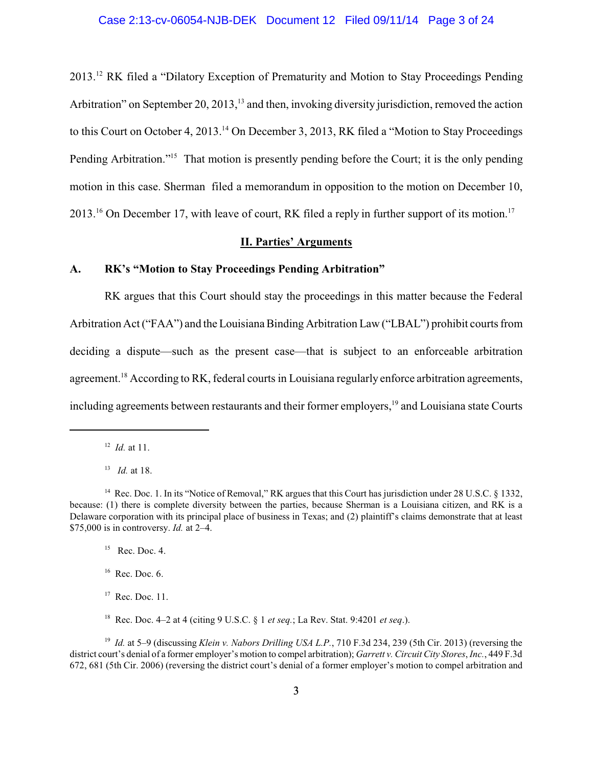2013.<sup>12</sup> RK filed a "Dilatory Exception of Prematurity and Motion to Stay Proceedings Pending Arbitration" on September 20, 2013,<sup>13</sup> and then, invoking diversity jurisdiction, removed the action to this Court on October 4, 2013.<sup>14</sup> On December 3, 2013, RK filed a "Motion to Stay Proceedings" Pending Arbitration."<sup>15</sup> That motion is presently pending before the Court; it is the only pending motion in this case. Sherman filed a memorandum in opposition to the motion on December 10, 2013.<sup>16</sup> On December 17, with leave of court, RK filed a reply in further support of its motion.<sup>17</sup>

## **II. Parties' Arguments**

### **A. RK's "Motion to Stay Proceedings Pending Arbitration"**

RK argues that this Court should stay the proceedings in this matter because the Federal Arbitration Act ("FAA") and the Louisiana Binding Arbitration Law ("LBAL") prohibit courts from deciding a dispute—such as the present case—that is subject to an enforceable arbitration agreement.<sup>18</sup> According to RK, federal courts in Louisiana regularly enforce arbitration agreements, including agreements between restaurants and their former employers,<sup>19</sup> and Louisiana state Courts

 $15$  Rec. Doc. 4.

 $16$  Rec. Doc. 6.

- <sup>17</sup> Rec. Doc. 11.
- <sup>18</sup> Rec. Doc. 4–2 at 4 (citing 9 U.S.C. § 1 *et seq.*; La Rev. Stat. 9:4201 *et seq*.).

<sup>19</sup> *Id.* at 5–9 (discussing *Klein v. Nabors Drilling USA L.P.*, 710 F.3d 234, 239 (5th Cir. 2013) (reversing the district court's denial of a former employer's motion to compel arbitration); *Garrett v. Circuit City Stores*, *Inc.*, 449 F.3d 672, 681 (5th Cir. 2006) (reversing the district court's denial of a former employer's motion to compel arbitration and

<sup>12</sup> *Id.* at 11.

<sup>13</sup> *Id.* at 18.

<sup>&</sup>lt;sup>14</sup> Rec. Doc. 1. In its "Notice of Removal," RK argues that this Court has jurisdiction under 28 U.S.C. § 1332, because: (1) there is complete diversity between the parties, because Sherman is a Louisiana citizen, and RK is a Delaware corporation with its principal place of business in Texas; and (2) plaintiff's claims demonstrate that at least \$75,000 is in controversy. *Id.* at 2–4.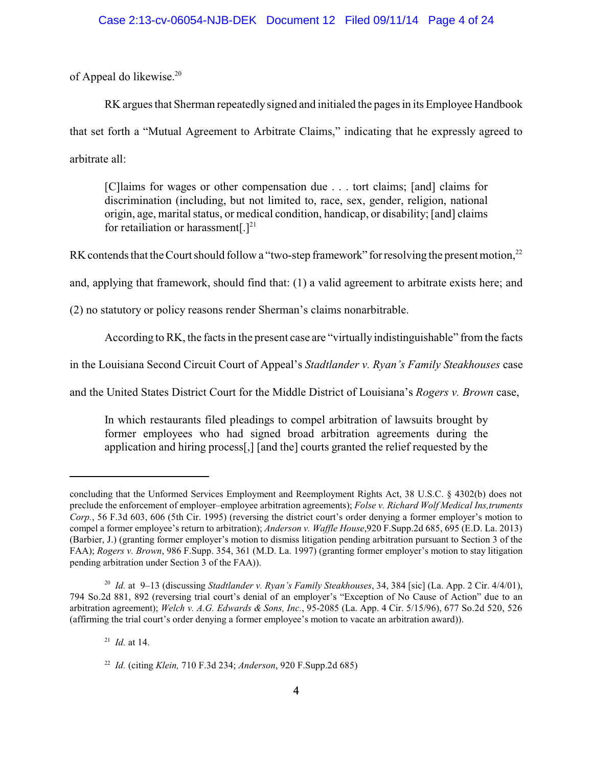of Appeal do likewise.<sup>20</sup>

RK argues that Sherman repeatedly signed and initialed the pages in its Employee Handbook that set forth a "Mutual Agreement to Arbitrate Claims," indicating that he expressly agreed to arbitrate all:

[C]laims for wages or other compensation due . . . tort claims; [and] claims for discrimination (including, but not limited to, race, sex, gender, religion, national origin, age, marital status, or medical condition, handicap, or disability; [and] claims for retailiation or harassment $[.]^{21}$ 

RK contends that the Court should follow a "two-step framework" for resolving the present motion,<sup>22</sup>

and, applying that framework, should find that: (1) a valid agreement to arbitrate exists here; and

(2) no statutory or policy reasons render Sherman's claims nonarbitrable.

According to RK, the facts in the present case are "virtually indistinguishable" from the facts

in the Louisiana Second Circuit Court of Appeal's *Stadtlander v. Ryan's Family Steakhouses* case

and the United States District Court for the Middle District of Louisiana's *Rogers v. Brown* case,

In which restaurants filed pleadings to compel arbitration of lawsuits brought by former employees who had signed broad arbitration agreements during the application and hiring process[,] [and the] courts granted the relief requested by the

21 *Id.* at 14.

concluding that the Unformed Services Employment and Reemployment Rights Act, 38 U.S.C. § 4302(b) does not preclude the enforcement of employer–employee arbitration agreements); *Folse v. Richard Wolf Medical Ins,truments Corp.*, 56 F.3d 603, 606 (5th Cir. 1995) (reversing the district court's order denying a former employer's motion to compel a former employee's return to arbitration); *Anderson v. Waffle House*,920 F.Supp.2d 685, 695 (E.D. La. 2013) (Barbier, J.) (granting former employer's motion to dismiss litigation pending arbitration pursuant to Section 3 of the FAA); *Rogers v. Brown*, 986 F.Supp. 354, 361 (M.D. La. 1997) (granting former employer's motion to stay litigation pending arbitration under Section 3 of the FAA)).

<sup>20</sup> *Id.* at 9–13 (discussing *Stadtlander v. Ryan's Family Steakhouses*, 34, 384 [sic] (La. App. 2 Cir. 4/4/01), 794 So.2d 881, 892 (reversing trial court's denial of an employer's "Exception of No Cause of Action" due to an arbitration agreement); *Welch v. A.G. Edwards & Sons, Inc.*, 95-2085 (La. App. 4 Cir. 5/15/96), 677 So.2d 520, 526 (affirming the trial court's order denying a former employee's motion to vacate an arbitration award)).

<sup>22</sup> *Id.* (citing *Klein,* 710 F.3d 234; *Anderson*, 920 F.Supp.2d 685)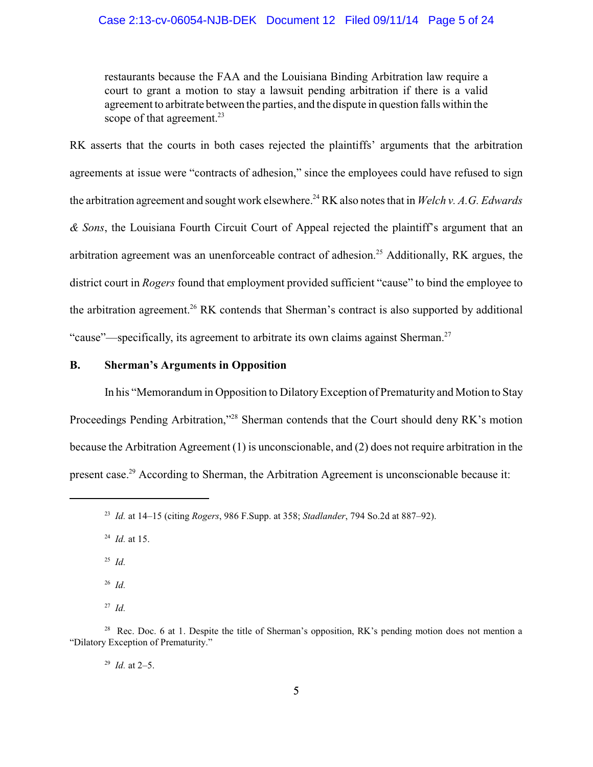restaurants because the FAA and the Louisiana Binding Arbitration law require a court to grant a motion to stay a lawsuit pending arbitration if there is a valid agreement to arbitrate between the parties, and the dispute in question falls within the scope of that agreement.<sup>23</sup>

RK asserts that the courts in both cases rejected the plaintiffs' arguments that the arbitration agreements at issue were "contracts of adhesion," since the employees could have refused to sign the arbitration agreement and sought work elsewhere.<sup>24</sup> RK also notes that in *Welch v. A.G. Edwards & Sons*, the Louisiana Fourth Circuit Court of Appeal rejected the plaintiff's argument that an arbitration agreement was an unenforceable contract of adhesion.<sup>25</sup> Additionally, RK argues, the district court in *Rogers* found that employment provided sufficient "cause" to bind the employee to the arbitration agreement.<sup>26</sup> RK contends that Sherman's contract is also supported by additional "cause"—specifically, its agreement to arbitrate its own claims against Sherman.<sup>27</sup>

### **B. Sherman's Arguments in Opposition**

In his "Memorandum in Opposition to DilatoryException of Prematurity and Motion to Stay Proceedings Pending Arbitration,"<sup>28</sup> Sherman contends that the Court should deny RK's motion because the Arbitration Agreement (1) is unconscionable, and (2) does not require arbitration in the present case.<sup>29</sup> According to Sherman, the Arbitration Agreement is unconscionable because it:

25 *Id.* 

26 *Id.*

27 *Id.* 

29 *Id.* at 2–5.

<sup>23</sup> *Id.* at 14–15 (citing *Rogers*, 986 F.Supp. at 358; *Stadlander*, 794 So.2d at 887–92).

<sup>24</sup> *Id.* at 15.

<sup>&</sup>lt;sup>28</sup> Rec. Doc. 6 at 1. Despite the title of Sherman's opposition, RK's pending motion does not mention a "Dilatory Exception of Prematurity."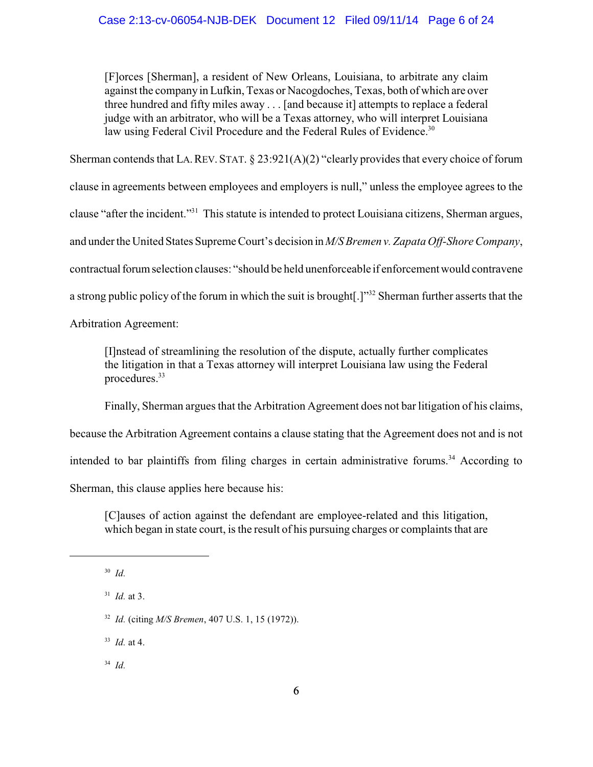[F]orces [Sherman], a resident of New Orleans, Louisiana, to arbitrate any claim against the companyin Lufkin, Texas or Nacogdoches, Texas, both of which are over three hundred and fifty miles away . . . [and because it] attempts to replace a federal judge with an arbitrator, who will be a Texas attorney, who will interpret Louisiana law using Federal Civil Procedure and the Federal Rules of Evidence.<sup>30</sup>

Sherman contends that LA. REV. STAT. § 23:921(A)(2) "clearly provides that every choice of forum

clause in agreements between employees and employers is null," unless the employee agrees to the

clause "after the incident."<sup>31</sup> This statute is intended to protect Louisiana citizens, Sherman argues,

and under the United States Supreme Court's decision in *M/S Bremen v. Zapata Off-Shore Company*,

contractualforumselection clauses: "should be held unenforceable if enforcement would contravene

a strong public policy of the forum in which the suit is brought[.]"<sup>32</sup> Sherman further asserts that the

Arbitration Agreement:

[I]nstead of streamlining the resolution of the dispute, actually further complicates the litigation in that a Texas attorney will interpret Louisiana law using the Federal procedures.<sup>33</sup>

Finally, Sherman argues that the Arbitration Agreement does not bar litigation of his claims,

because the Arbitration Agreement contains a clause stating that the Agreement does not and is not

intended to bar plaintiffs from filing charges in certain administrative forums.<sup>34</sup> According to

Sherman, this clause applies here because his:

[C]auses of action against the defendant are employee-related and this litigation, which began in state court, is the result of his pursuing charges or complaints that are

33 *Id.* at 4.

34 *Id.*

<sup>30</sup> *Id.* 

<sup>31</sup> *Id.* at 3.

<sup>32</sup> *Id.* (citing *M/S Bremen*, 407 U.S. 1, 15 (1972)).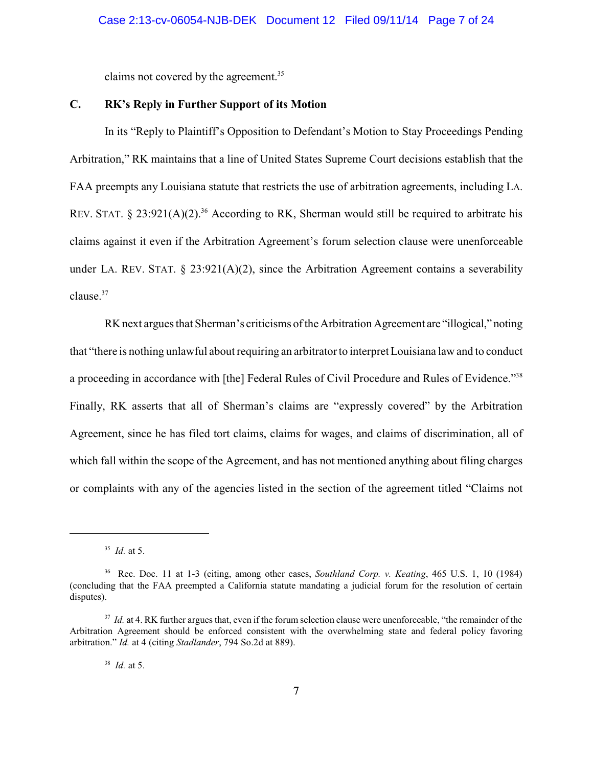claims not covered by the agreement.<sup>35</sup>

### **C. RK's Reply in Further Support of its Motion**

In its "Reply to Plaintiff's Opposition to Defendant's Motion to Stay Proceedings Pending Arbitration," RK maintains that a line of United States Supreme Court decisions establish that the FAA preempts any Louisiana statute that restricts the use of arbitration agreements, including LA. REV. STAT.  $\&$  23:921(A)(2).<sup>36</sup> According to RK, Sherman would still be required to arbitrate his claims against it even if the Arbitration Agreement's forum selection clause were unenforceable under LA. REV. STAT.  $\S$  23:921(A)(2), since the Arbitration Agreement contains a severability clause.<sup>37</sup>

RKnext argues that Sherman's criticisms of the Arbitration Agreement are "illogical," noting that "there is nothing unlawful about requiring an arbitrator to interpret Louisiana law and to conduct a proceeding in accordance with [the] Federal Rules of Civil Procedure and Rules of Evidence."<sup>38</sup> Finally, RK asserts that all of Sherman's claims are "expressly covered" by the Arbitration Agreement, since he has filed tort claims, claims for wages, and claims of discrimination, all of which fall within the scope of the Agreement, and has not mentioned anything about filing charges or complaints with any of the agencies listed in the section of the agreement titled "Claims not

<sup>35</sup> *Id.* at 5.

<sup>36</sup> Rec. Doc. 11 at 1-3 (citing, among other cases, *Southland Corp. v. Keating*, 465 U.S. 1, 10 (1984) (concluding that the FAA preempted a California statute mandating a judicial forum for the resolution of certain disputes).

<sup>&</sup>lt;sup>37</sup> *Id.* at 4. RK further argues that, even if the forum selection clause were unenforceable, "the remainder of the Arbitration Agreement should be enforced consistent with the overwhelming state and federal policy favoring arbitration." *Id.* at 4 (citing *Stadlander*, 794 So.2d at 889).

<sup>38</sup> *Id.* at 5.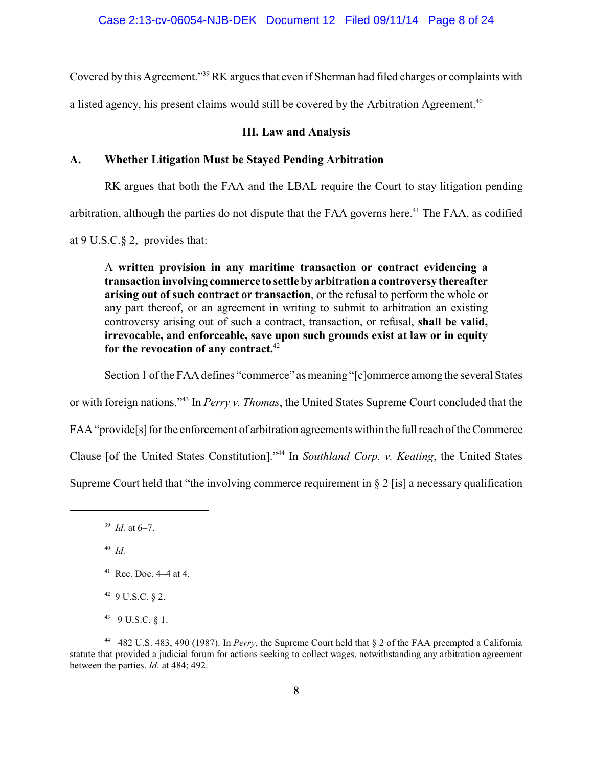Covered by this Agreement."<sup>39</sup> RK argues that even if Sherman had filed charges or complaints with

a listed agency, his present claims would still be covered by the Arbitration Agreement.<sup>40</sup>

## **III. Law and Analysis**

## **A. Whether Litigation Must be Stayed Pending Arbitration**

RK argues that both the FAA and the LBAL require the Court to stay litigation pending

arbitration, although the parties do not dispute that the FAA governs here.<sup>41</sup> The FAA, as codified

at 9 U.S.C.§ 2, provides that:

A **written provision in any maritime transaction or contract evidencing a transaction involving commerce to settle by arbitrationa controversy thereafter arising out of such contract or transaction**, or the refusal to perform the whole or any part thereof, or an agreement in writing to submit to arbitration an existing controversy arising out of such a contract, transaction, or refusal, **shall be valid, irrevocable, and enforceable, save upon such grounds exist at law or in equity for the revocation of any contract.**<sup>42</sup>

Section 1 ofthe FAA defines "commerce" as meaning "[c]ommerce among the several States

or with foreign nations."<sup>43</sup> In *Perry v. Thomas*, the United States Supreme Court concluded that the

FAA "provide<sup>[s]</sup> for the enforcement of arbitration agreements within the full reach of the Commerce

Clause [of the United States Constitution]."<sup>44</sup> In *Southland Corp. v. Keating*, the United States

Supreme Court held that "the involving commerce requirement in  $\S 2$  [is] a necessary qualification

40 *Id.* 

- $42$  9 U.S.C.  $82$ .
- $43$  9 U.S.C.  $8$  1.

<sup>39</sup> *Id.* at 6–7.

 $41$  Rec. Doc.  $4-4$  at 4.

<sup>44</sup> 482 U.S. 483, 490 (1987). In *Perry*, the Supreme Court held that § 2 of the FAA preempted a California statute that provided a judicial forum for actions seeking to collect wages, notwithstanding any arbitration agreement between the parties. *Id.* at 484; 492.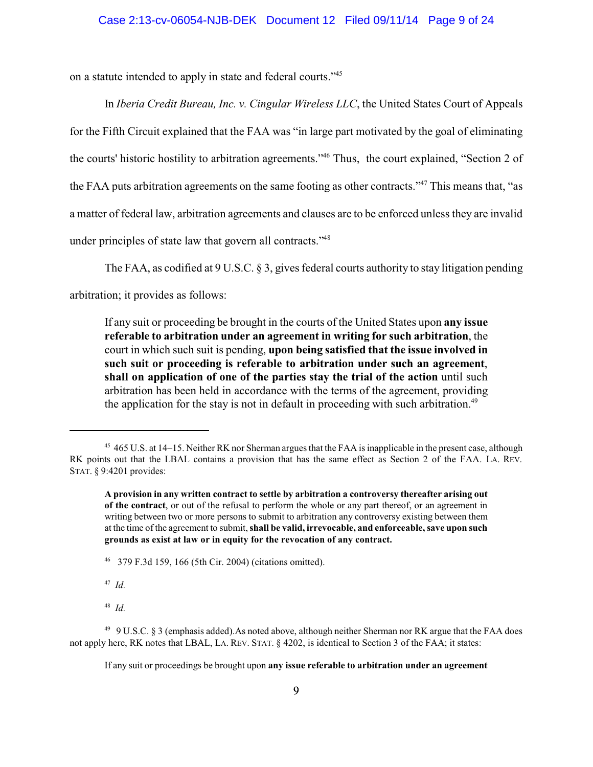on a statute intended to apply in state and federal courts."<sup>45</sup>

In *Iberia Credit Bureau, Inc. v. Cingular Wireless LLC*, the United States Court of Appeals for the Fifth Circuit explained that the FAA was "in large part motivated by the goal of eliminating the courts' historic hostility to arbitration agreements."<sup>46</sup> Thus, the court explained, "Section 2 of the FAA puts arbitration agreements on the same footing as other contracts."<sup>47</sup> This means that, "as a matter of federal law, arbitration agreements and clauses are to be enforced unless they are invalid under principles of state law that govern all contracts."<sup>48</sup>

The FAA, as codified at 9 U.S.C. § 3, gives federal courts authority to stay litigation pending

arbitration; it provides as follows:

If any suit or proceeding be brought in the courts of the United States upon **any issue referable to arbitration under an agreement in writing for such arbitration**, the court in which such suit is pending, **upon being satisfied that the issue involved in such suit or proceeding is referable to arbitration under such an agreement**, **shall on application of one of the parties stay the trial of the action** until such arbitration has been held in accordance with the terms of the agreement, providing the application for the stay is not in default in proceeding with such arbitration.<sup>49</sup>

<sup>46</sup> 379 F.3d 159, 166 (5th Cir. 2004) (citations omitted).

47 *Id.*

48 *Id.*

<sup>&</sup>lt;sup>45</sup> 465 U.S. at 14–15. Neither RK nor Sherman argues that the FAA is inapplicable in the present case, although RK points out that the LBAL contains a provision that has the same effect as Section 2 of the FAA. LA. REV. STAT. § 9:4201 provides:

**A provision in any written contract to settle by arbitration a controversy thereafter arising out of the contract**, or out of the refusal to perform the whole or any part thereof, or an agreement in writing between two or more persons to submit to arbitration any controversy existing between them at the time of the agreement to submit, **shall be valid, irrevocable, and enforceable, save upon such grounds as exist at law or in equity for the revocation of any contract.**

<sup>49</sup> 9 U.S.C. § 3 (emphasis added).As noted above, although neither Sherman nor RK argue that the FAA does not apply here, RK notes that LBAL, LA. REV. STAT. § 4202, is identical to Section 3 of the FAA; it states:

If any suit or proceedings be brought upon **any issue referable to arbitration under an agreement**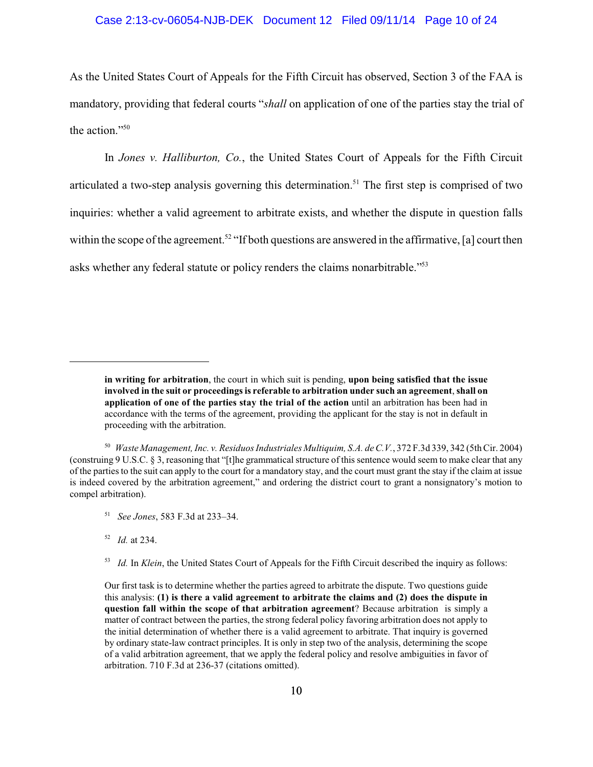### Case 2:13-cv-06054-NJB-DEK Document 12 Filed 09/11/14 Page 10 of 24

As the United States Court of Appeals for the Fifth Circuit has observed, Section 3 of the FAA is mandatory, providing that federal courts "*shall* on application of one of the parties stay the trial of the action."<sup>50</sup>

In *Jones v. Halliburton, Co.*, the United States Court of Appeals for the Fifth Circuit articulated a two-step analysis governing this determination.<sup>51</sup> The first step is comprised of two inquiries: whether a valid agreement to arbitrate exists, and whether the dispute in question falls within the scope of the agreement.<sup>52</sup> "If both questions are answered in the affirmative, [a] court then asks whether any federal statute or policy renders the claims nonarbitrable."<sup>53</sup>

51 *See Jones*, 583 F.3d at 233–34.

52 *Id.* at 234.

**in writing for arbitration**, the court in which suit is pending, **upon being satisfied that the issue involved in the suit or proceedings is referable to arbitration under such an agreement**, **shall on application of one of the parties stay the trial of the action** until an arbitration has been had in accordance with the terms of the agreement, providing the applicant for the stay is not in default in proceeding with the arbitration.

<sup>50</sup> *Waste Management, Inc. v. Residuos Industriales Multiquim, S.A. de C.V.*, 372 F.3d 339, 342 (5thCir. 2004) (construing 9 U.S.C. § 3, reasoning that "[t]he grammatical structure of this sentence would seem to make clear that any of the parties to the suit can apply to the court for a mandatory stay, and the court must grant the stay if the claim at issue is indeed covered by the arbitration agreement," and ordering the district court to grant a nonsignatory's motion to compel arbitration).

<sup>&</sup>lt;sup>53</sup> *Id.* In *Klein*, the United States Court of Appeals for the Fifth Circuit described the inquiry as follows:

Our first task is to determine whether the parties agreed to arbitrate the dispute. Two questions guide this analysis: **(1) is there a valid agreement to arbitrate the claims and (2) does the dispute in question fall within the scope of that arbitration agreement**? Because arbitration is simply a matter of contract between the parties, the strong federal policy favoring arbitration does not apply to the initial determination of whether there is a valid agreement to arbitrate. That inquiry is governed by ordinary state-law contract principles. It is only in step two of the analysis, determining the scope of a valid arbitration agreement, that we apply the federal policy and resolve ambiguities in favor of arbitration. 710 F.3d at 236-37 (citations omitted).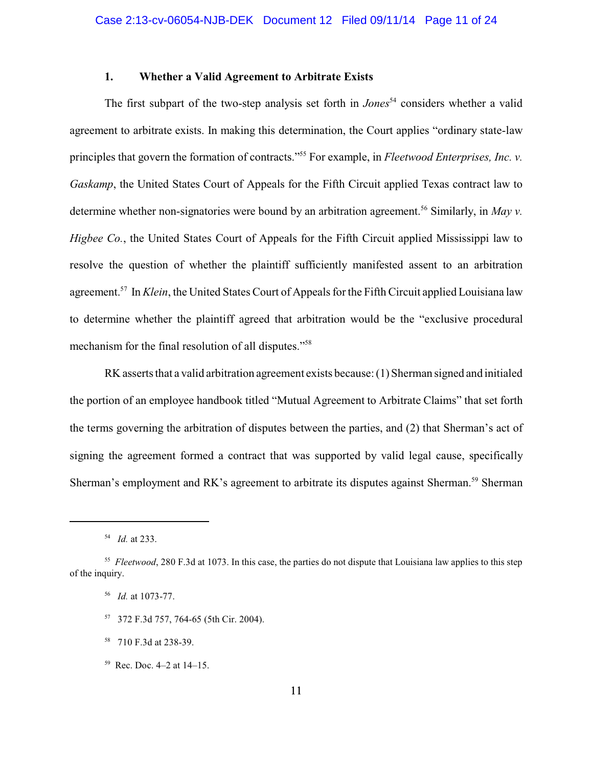### **1. Whether a Valid Agreement to Arbitrate Exists**

The first subpart of the two-step analysis set forth in *Jones*<sup>54</sup> considers whether a valid agreement to arbitrate exists. In making this determination, the Court applies "ordinary state-law principles that govern the formation of contracts."<sup>55</sup> For example, in *Fleetwood Enterprises, Inc. v. Gaskamp*, the United States Court of Appeals for the Fifth Circuit applied Texas contract law to determine whether non-signatories were bound by an arbitration agreement.<sup>56</sup> Similarly, in *May v*. *Higbee Co.*, the United States Court of Appeals for the Fifth Circuit applied Mississippi law to resolve the question of whether the plaintiff sufficiently manifested assent to an arbitration agreement.<sup>57</sup> In *Klein*, the United States Court of Appeals for the Fifth Circuit applied Louisiana law to determine whether the plaintiff agreed that arbitration would be the "exclusive procedural mechanism for the final resolution of all disputes."<sup>58</sup>

RK asserts that a valid arbitration agreement exists because: (1) Sherman signed and initialed the portion of an employee handbook titled "Mutual Agreement to Arbitrate Claims" that set forth the terms governing the arbitration of disputes between the parties, and (2) that Sherman's act of signing the agreement formed a contract that was supported by valid legal cause, specifically Sherman's employment and RK's agreement to arbitrate its disputes against Sherman.<sup>59</sup> Sherman

- <sup>57</sup> 372 F.3d 757, 764-65 (5th Cir. 2004).
- <sup>58</sup> 710 F.3d at 238-39.
- <sup>59</sup> Rec. Doc. 4–2 at 14–15.

<sup>54</sup> *Id.* at 233.

<sup>55</sup> *Fleetwood*, 280 F.3d at 1073. In this case, the parties do not dispute that Louisiana law applies to this step of the inquiry.

<sup>56</sup> *Id.* at 1073-77.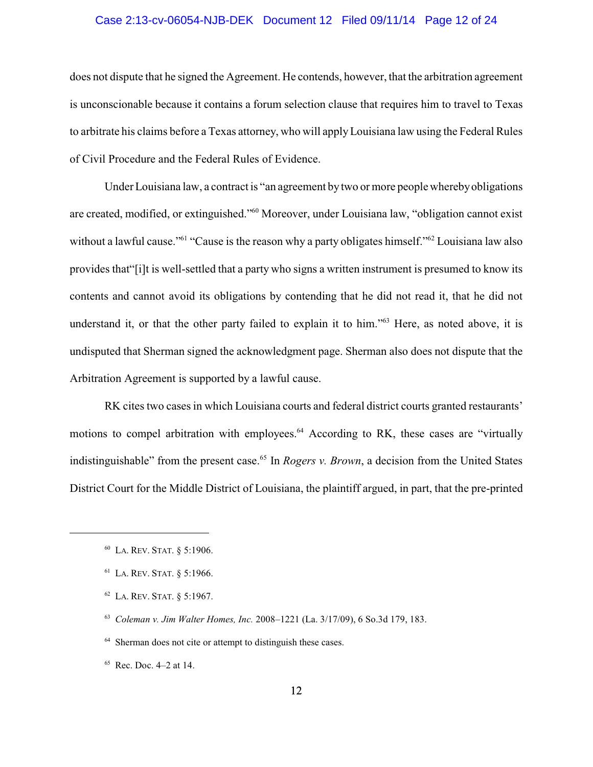#### Case 2:13-cv-06054-NJB-DEK Document 12 Filed 09/11/14 Page 12 of 24

does not dispute that he signed the Agreement. He contends, however, that the arbitration agreement is unconscionable because it contains a forum selection clause that requires him to travel to Texas to arbitrate his claims before a Texas attorney, who will applyLouisiana law using the Federal Rules of Civil Procedure and the Federal Rules of Evidence.

Under Louisiana law, a contract is "an agreement by two or more people wherebyobligations are created, modified, or extinguished."<sup>60</sup> Moreover, under Louisiana law, "obligation cannot exist without a lawful cause."<sup>61</sup> "Cause is the reason why a party obligates himself."<sup>62</sup> Louisiana law also provides that"[i]t is well-settled that a party who signs a written instrument is presumed to know its contents and cannot avoid its obligations by contending that he did not read it, that he did not understand it, or that the other party failed to explain it to him."<sup>63</sup> Here, as noted above, it is undisputed that Sherman signed the acknowledgment page. Sherman also does not dispute that the Arbitration Agreement is supported by a lawful cause.

RK cites two cases in which Louisiana courts and federal district courts granted restaurants' motions to compel arbitration with employees.<sup>64</sup> According to RK, these cases are "virtually indistinguishable" from the present case. 65 In *Rogers v. Brown*, a decision from the United States District Court for the Middle District of Louisiana, the plaintiff argued, in part, that the pre-printed

<sup>64</sup> Sherman does not cite or attempt to distinguish these cases.

 $65$  Rec. Doc. 4–2 at 14.

<sup>60</sup> LA. REV. STAT. § 5:1906.

<sup>61</sup> LA. REV. STAT. § 5:1966.

<sup>62</sup> LA. REV. STAT. § 5:1967.

<sup>63</sup> *Coleman v. Jim Walter Homes, Inc.* 2008–1221 (La. 3/17/09), 6 So.3d 179, 183.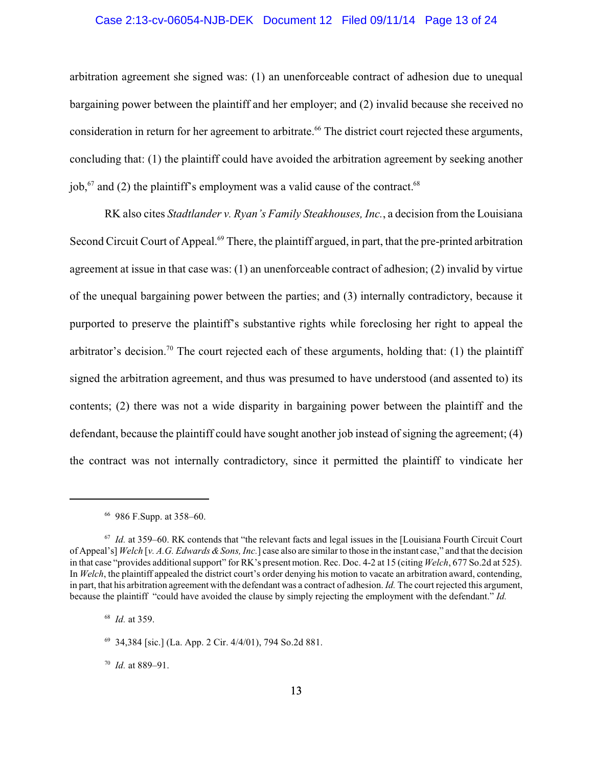### Case 2:13-cv-06054-NJB-DEK Document 12 Filed 09/11/14 Page 13 of 24

arbitration agreement she signed was: (1) an unenforceable contract of adhesion due to unequal bargaining power between the plaintiff and her employer; and (2) invalid because she received no consideration in return for her agreement to arbitrate.<sup>66</sup> The district court rejected these arguments, concluding that: (1) the plaintiff could have avoided the arbitration agreement by seeking another job,<sup>67</sup> and (2) the plaintiff's employment was a valid cause of the contract.<sup>68</sup>

RK also cites *Stadtlander v. Ryan's Family Steakhouses, Inc.*, a decision from the Louisiana Second Circuit Court of Appeal.<sup>69</sup> There, the plaintiff argued, in part, that the pre-printed arbitration agreement at issue in that case was: (1) an unenforceable contract of adhesion; (2) invalid by virtue of the unequal bargaining power between the parties; and (3) internally contradictory, because it purported to preserve the plaintiff's substantive rights while foreclosing her right to appeal the arbitrator's decision.<sup>70</sup> The court rejected each of these arguments, holding that: (1) the plaintiff signed the arbitration agreement, and thus was presumed to have understood (and assented to) its contents; (2) there was not a wide disparity in bargaining power between the plaintiff and the defendant, because the plaintiff could have sought another job instead of signing the agreement; (4) the contract was not internally contradictory, since it permitted the plaintiff to vindicate her

70 *Id.* at 889–91.

<sup>66</sup> 986 F.Supp. at 358–60.

<sup>67</sup> *Id.* at 359–60. RK contends that "the relevant facts and legal issues in the [Louisiana Fourth Circuit Court of Appeal's] *Welch* [*v. A.G. Edwards &Sons, Inc.*] case also are similar to those in the instant case," and that the decision in that case "provides additional support" for RK's present motion. Rec. Doc. 4-2 at 15 (citing *Welch*, 677 So.2d at 525). In *Welch*, the plaintiff appealed the district court's order denying his motion to vacate an arbitration award, contending, in part, that his arbitration agreement with the defendant was a contract of adhesion. *Id.* The court rejected this argument, because the plaintiff "could have avoided the clause by simply rejecting the employment with the defendant." *Id.*

<sup>68</sup> *Id.* at 359.

<sup>69</sup> 34,384 [sic.] (La. App. 2 Cir. 4/4/01), 794 So.2d 881.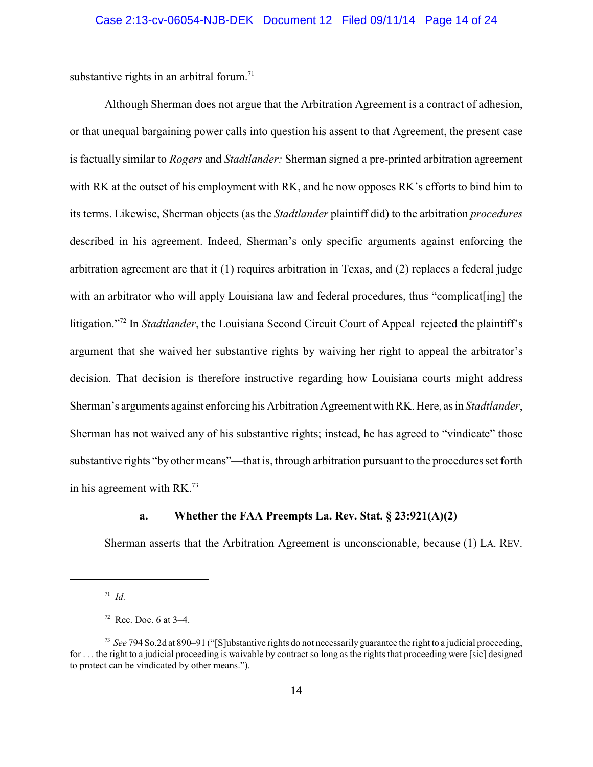substantive rights in an arbitral forum.<sup>71</sup>

Although Sherman does not argue that the Arbitration Agreement is a contract of adhesion, or that unequal bargaining power calls into question his assent to that Agreement, the present case is factually similar to *Rogers* and *Stadtlander:* Sherman signed a pre-printed arbitration agreement with RK at the outset of his employment with RK, and he now opposes RK's efforts to bind him to its terms. Likewise, Sherman objects (as the *Stadtlander* plaintiff did) to the arbitration *procedures* described in his agreement. Indeed, Sherman's only specific arguments against enforcing the arbitration agreement are that it (1) requires arbitration in Texas, and (2) replaces a federal judge with an arbitrator who will apply Louisiana law and federal procedures, thus "complicat [ing] the litigation."<sup>72</sup> In *Stadtlander*, the Louisiana Second Circuit Court of Appeal rejected the plaintiff's argument that she waived her substantive rights by waiving her right to appeal the arbitrator's decision. That decision is therefore instructive regarding how Louisiana courts might address Sherman's arguments against enforcing his Arbitration Agreement with RK. Here, as in *Stadtlander*, Sherman has not waived any of his substantive rights; instead, he has agreed to "vindicate" those substantive rights "by other means"—that is, through arbitration pursuant to the procedures set forth in his agreement with RK.<sup>73</sup>

### **a. Whether the FAA Preempts La. Rev. Stat. § 23:921(A)(2)**

Sherman asserts that the Arbitration Agreement is unconscionable, because (1) LA. REV.

<sup>71</sup> *Id.*

 $72$  Rec. Doc. 6 at  $3-4$ .

<sup>73</sup> *See* 794 So.2d at 890–91 ("[S]ubstantive rights do not necessarily guarantee the right to a judicial proceeding, for . . . the right to a judicial proceeding is waivable by contract so long as the rights that proceeding were [sic] designed to protect can be vindicated by other means.").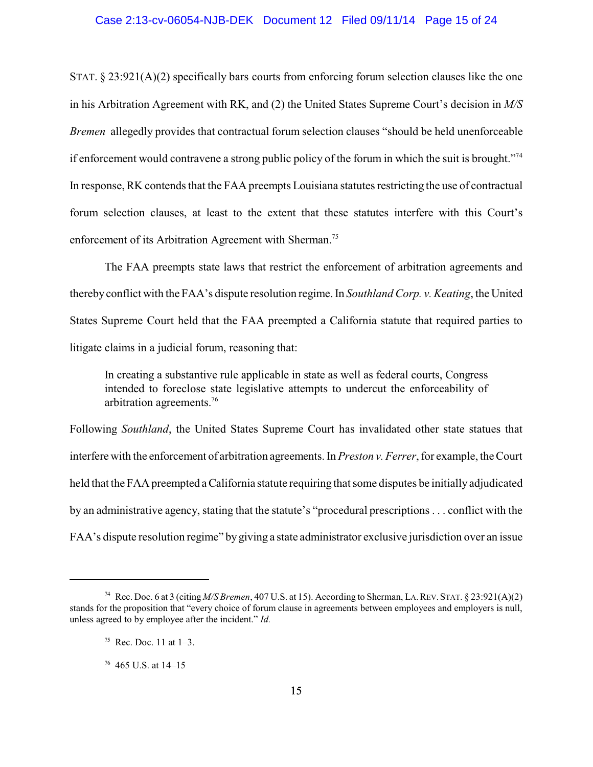#### Case 2:13-cv-06054-NJB-DEK Document 12 Filed 09/11/14 Page 15 of 24

STAT. § 23:921(A)(2) specifically bars courts from enforcing forum selection clauses like the one in his Arbitration Agreement with RK, and (2) the United States Supreme Court's decision in *M/S Bremen* allegedly provides that contractual forum selection clauses "should be held unenforceable if enforcement would contravene a strong public policy of the forum in which the suit is brought."<sup>74</sup> In response, RK contends that the FAA preempts Louisiana statutes restricting the use of contractual forum selection clauses, at least to the extent that these statutes interfere with this Court's enforcement of its Arbitration Agreement with Sherman.<sup>75</sup>

The FAA preempts state laws that restrict the enforcement of arbitration agreements and therebyconflict with the FAA's dispute resolution regime. In *Southland Corp. v. Keating*, the United States Supreme Court held that the FAA preempted a California statute that required parties to litigate claims in a judicial forum, reasoning that:

In creating a substantive rule applicable in state as well as federal courts, Congress intended to foreclose state legislative attempts to undercut the enforceability of arbitration agreements.<sup>76</sup>

Following *Southland*, the United States Supreme Court has invalidated other state statues that interfere with the enforcement of arbitration agreements. In *Preston v. Ferrer*, for example, the Court held that the FAApreempted a California statute requiring that some disputes be initially adjudicated by an administrative agency, stating that the statute's "procedural prescriptions . . . conflict with the FAA's dispute resolution regime" by giving a state administrator exclusive jurisdiction over an issue

<sup>74</sup> Rec. Doc. 6 at 3 (citing *M/S Bremen*, 407 U.S. at 15). According to Sherman, LA.REV.STAT. § 23:921(A)(2) stands for the proposition that "every choice of forum clause in agreements between employees and employers is null, unless agreed to by employee after the incident." *Id.*

<sup>&</sup>lt;sup>75</sup> Rec. Doc. 11 at  $1-3$ .

 $76$  465 U.S. at 14–15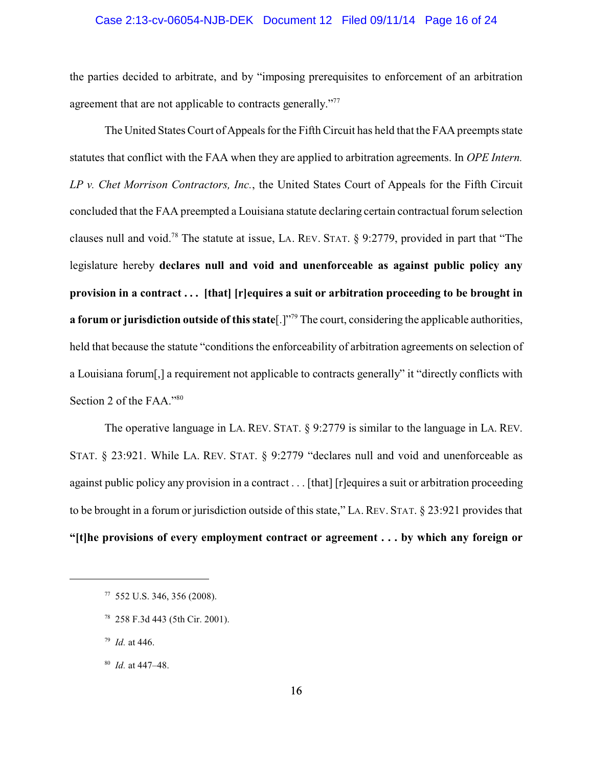#### Case 2:13-cv-06054-NJB-DEK Document 12 Filed 09/11/14 Page 16 of 24

the parties decided to arbitrate, and by "imposing prerequisites to enforcement of an arbitration agreement that are not applicable to contracts generally."<sup>77</sup>

The United States Court of Appeals for the Fifth Circuit has held that the FAA preempts state statutes that conflict with the FAA when they are applied to arbitration agreements. In *OPE Intern. LP v. Chet Morrison Contractors, Inc.*, the United States Court of Appeals for the Fifth Circuit concluded that the FAA preempted a Louisiana statute declaring certain contractual forum selection clauses null and void.<sup>78</sup> The statute at issue, LA. REV. STAT. § 9:2779, provided in part that "The legislature hereby **declares null and void and unenforceable as against public policy any provision in a contract . . . [that] [r]equires a suit or arbitration proceeding to be brought in a forum or jurisdiction outside of this state**[.]" <sup>79</sup> The court, considering the applicable authorities, held that because the statute "conditions the enforceability of arbitration agreements on selection of a Louisiana forum[,] a requirement not applicable to contracts generally" it "directly conflicts with Section 2 of the FAA."80

The operative language in LA. REV. STAT. § 9:2779 is similar to the language in LA. REV. STAT. § 23:921. While LA. REV. STAT. § 9:2779 "declares null and void and unenforceable as against public policy any provision in a contract . . . [that] [r] equires a suit or arbitration proceeding to be brought in a forum or jurisdiction outside of this state," LA.REV. STAT. § 23:921 provides that **"[t]he provisions of every employment contract or agreement . . . by which any foreign or**

<sup>77</sup> 552 U.S. 346, 356 (2008).

<sup>78</sup> 258 F.3d 443 (5th Cir. 2001).

<sup>79</sup> *Id.* at 446.

<sup>80</sup> *Id.* at 447–48.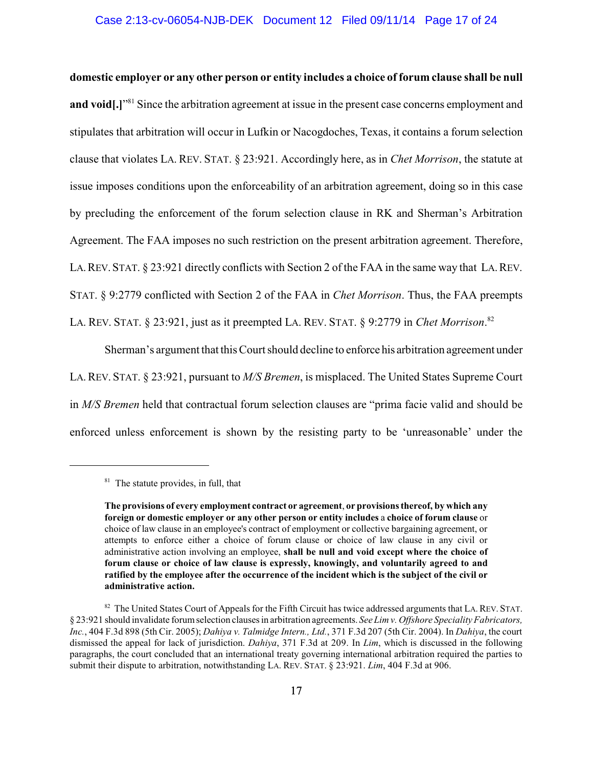#### Case 2:13-cv-06054-NJB-DEK Document 12 Filed 09/11/14 Page 17 of 24

**domestic employer or any other person or entity includes a choice of forum clause shall be null** and void[.]<sup>"<sup>81</sup> Since the arbitration agreement at issue in the present case concerns employment and</sup> stipulates that arbitration will occur in Lufkin or Nacogdoches, Texas, it contains a forum selection clause that violates LA. REV. STAT. § 23:921. Accordingly here, as in *Chet Morrison*, the statute at issue imposes conditions upon the enforceability of an arbitration agreement, doing so in this case by precluding the enforcement of the forum selection clause in RK and Sherman's Arbitration Agreement. The FAA imposes no such restriction on the present arbitration agreement. Therefore, LA.REV. STAT. § 23:921 directly conflicts with Section 2 of the FAA in the same way that LA.REV. STAT. § 9:2779 conflicted with Section 2 of the FAA in *Chet Morrison*. Thus, the FAA preempts LA. REV. STAT. § 23:921, just as it preempted LA. REV. STAT. § 9:2779 in *Chet Morrison*.<sup>82</sup>

Sherman's argument that this Court should decline to enforce his arbitration agreement under LA.REV. STAT. § 23:921, pursuant to *M/S Bremen*, is misplaced. The United States Supreme Court in *M/S Bremen* held that contractual forum selection clauses are "prima facie valid and should be enforced unless enforcement is shown by the resisting party to be 'unreasonable' under the

<sup>&</sup>lt;sup>81</sup> The statute provides, in full, that

**The provisions of every employment contract or agreement**, **or provisions thereof, by which any foreign or domestic employer or any other person or entity includes** a **choice of forum clause** or choice of law clause in an employee's contract of employment or collective bargaining agreement, or attempts to enforce either a choice of forum clause or choice of law clause in any civil or administrative action involving an employee, **shall be null and void except where the choice of forum clause or choice of law clause is expressly, knowingly, and voluntarily agreed to and ratified by the employee after the occurrence of the incident which is the subject of the civil or administrative action.**

<sup>&</sup>lt;sup>82</sup> The United States Court of Appeals for the Fifth Circuit has twice addressed arguments that LA. REV. STAT. § 23:921 should invalidate forumselection clauses in arbitration agreements. *See Lim v. Offshore Speciality Fabricators, Inc.*, 404 F.3d 898 (5th Cir. 2005); *Dahiya v. Talmidge Intern., Ltd.*, 371 F.3d 207 (5th Cir. 2004). In *Dahiya*, the court dismissed the appeal for lack of jurisdiction. *Dahiya*, 371 F.3d at 209. In *Lim*, which is discussed in the following paragraphs, the court concluded that an international treaty governing international arbitration required the parties to submit their dispute to arbitration, notwithstanding LA. REV. STAT. § 23:921. *Lim*, 404 F.3d at 906.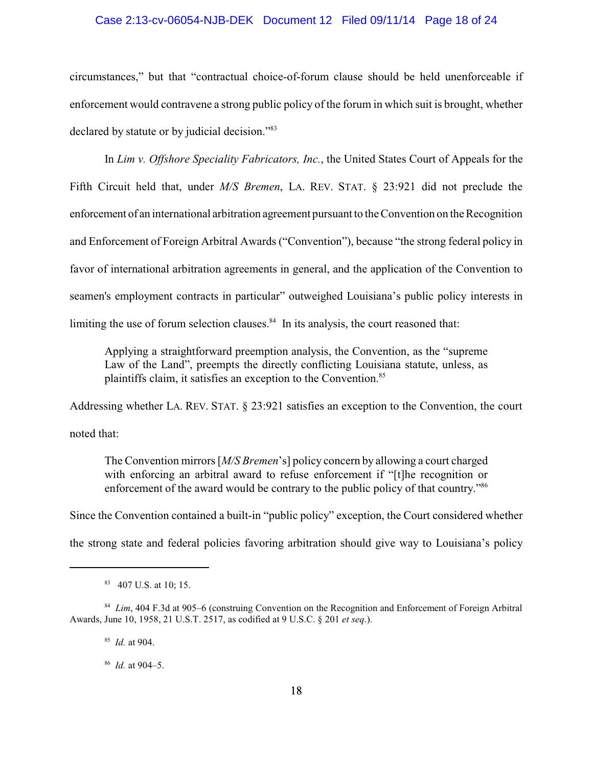#### Case 2:13-cv-06054-NJB-DEK Document 12 Filed 09/11/14 Page 18 of 24

circumstances," but that "contractual choice-of-forum clause should be held unenforceable if enforcement would contravene a strong public policy of the forum in which suit is brought, whether declared by statute or by judicial decision."<sup>83</sup>

In *Lim v. Offshore Speciality Fabricators, Inc.*, the United States Court of Appeals for the Fifth Circuit held that, under *M/S Bremen*, LA. REV. STAT. § 23:921 did not preclude the enforcement of an international arbitration agreement pursuant to the Convention on the Recognition and Enforcement of Foreign Arbitral Awards ("Convention"), because "the strong federal policy in favor of international arbitration agreements in general, and the application of the Convention to seamen's employment contracts in particular" outweighed Louisiana's public policy interests in limiting the use of forum selection clauses. $84$  In its analysis, the court reasoned that:

Applying a straightforward preemption analysis, the Convention, as the "supreme Law of the Land", preempts the directly conflicting Louisiana statute, unless, as plaintiffs claim, it satisfies an exception to the Convention.<sup>85</sup>

Addressing whether LA. REV. STAT. § 23:921 satisfies an exception to the Convention, the court noted that:

The Convention mirrors [*M/S Bremen*'s] policy concern by allowing a court charged with enforcing an arbitral award to refuse enforcement if "[t]he recognition or enforcement of the award would be contrary to the public policy of that country.<sup>"86</sup>

Since the Convention contained a built-in "public policy" exception, the Court considered whether the strong state and federal policies favoring arbitration should give way to Louisiana's policy

85 *Id.* at 904.

86 *Id.* at 904–5.

<sup>83</sup> 407 U.S. at 10; 15.

<sup>&</sup>lt;sup>84</sup> *Lim*, 404 F.3d at 905–6 (construing Convention on the Recognition and Enforcement of Foreign Arbitral Awards, June 10, 1958, 21 U.S.T. 2517, as codified at 9 U.S.C. § 201 *et seq*.).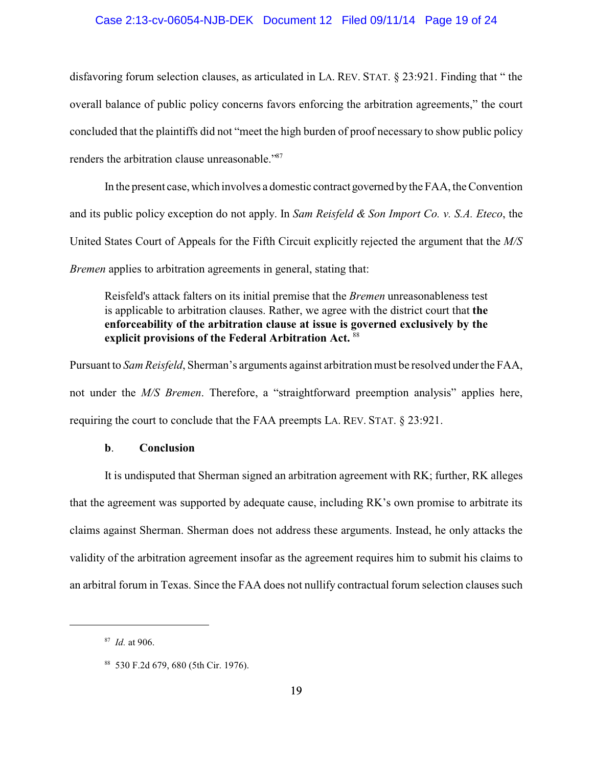#### Case 2:13-cv-06054-NJB-DEK Document 12 Filed 09/11/14 Page 19 of 24

disfavoring forum selection clauses, as articulated in LA. REV. STAT. § 23:921. Finding that " the overall balance of public policy concerns favors enforcing the arbitration agreements," the court concluded that the plaintiffs did not "meet the high burden of proof necessary to show public policy renders the arbitration clause unreasonable."<sup>87</sup>

In the present case, which involves a domestic contract governed bythe FAA, the Convention and its public policy exception do not apply. In *Sam Reisfeld & Son Import Co. v. S.A. Eteco*, the United States Court of Appeals for the Fifth Circuit explicitly rejected the argument that the *M/S Bremen* applies to arbitration agreements in general, stating that:

Reisfeld's attack falters on its initial premise that the *Bremen* unreasonableness test is applicable to arbitration clauses. Rather, we agree with the district court that **the enforceability of the arbitration clause at issue is governed exclusively by the** explicit provisions of the Federal Arbitration Act. 88

Pursuant to *Sam Reisfeld*, Sherman's arguments against arbitration must be resolved under the FAA, not under the *M/S Bremen*. Therefore, a "straightforward preemption analysis" applies here, requiring the court to conclude that the FAA preempts LA. REV. STAT. § 23:921.

#### **b**. **Conclusion**

It is undisputed that Sherman signed an arbitration agreement with RK; further, RK alleges that the agreement was supported by adequate cause, including RK's own promise to arbitrate its claims against Sherman. Sherman does not address these arguments. Instead, he only attacks the validity of the arbitration agreement insofar as the agreement requires him to submit his claims to an arbitral forum in Texas. Since the FAA does not nullify contractual forum selection clauses such

<sup>87</sup> *Id.* at 906.

<sup>88</sup> 530 F.2d 679, 680 (5th Cir. 1976).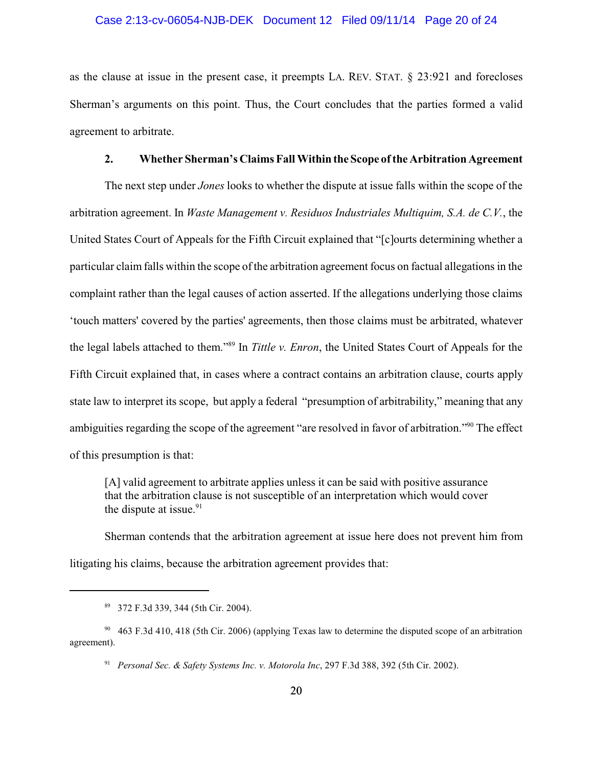#### Case 2:13-cv-06054-NJB-DEK Document 12 Filed 09/11/14 Page 20 of 24

as the clause at issue in the present case, it preempts LA. REV. STAT. § 23:921 and forecloses Sherman's arguments on this point. Thus, the Court concludes that the parties formed a valid agreement to arbitrate.

#### **2. Whether Sherman's Claims Fall Within the Scope ofthe Arbitration Agreement**

The next step under *Jones* looks to whether the dispute at issue falls within the scope of the arbitration agreement. In *Waste Management v. Residuos Industriales Multiquim, S.A. de C.V.*, the United States Court of Appeals for the Fifth Circuit explained that "[c]ourts determining whether a particular claim falls within the scope of the arbitration agreement focus on factual allegations in the complaint rather than the legal causes of action asserted. If the allegations underlying those claims 'touch matters' covered by the parties' agreements, then those claims must be arbitrated, whatever the legal labels attached to them."<sup>89</sup> In *Tittle v. Enron*, the United States Court of Appeals for the Fifth Circuit explained that, in cases where a contract contains an arbitration clause, courts apply state law to interpret its scope, but apply a federal "presumption of arbitrability," meaning that any ambiguities regarding the scope of the agreement "are resolved in favor of arbitration."<sup>90</sup> The effect of this presumption is that:

[A] valid agreement to arbitrate applies unless it can be said with positive assurance that the arbitration clause is not susceptible of an interpretation which would cover the dispute at issue. $91$ 

Sherman contends that the arbitration agreement at issue here does not prevent him from litigating his claims, because the arbitration agreement provides that:

<sup>89</sup> 372 F.3d 339, 344 (5th Cir. 2004).

<sup>90</sup> 463 F.3d 410, 418 (5th Cir. 2006) (applying Texas law to determine the disputed scope of an arbitration agreement).

<sup>91</sup> *Personal Sec. & Safety Systems Inc. v. Motorola Inc*, 297 F.3d 388, 392 (5th Cir. 2002).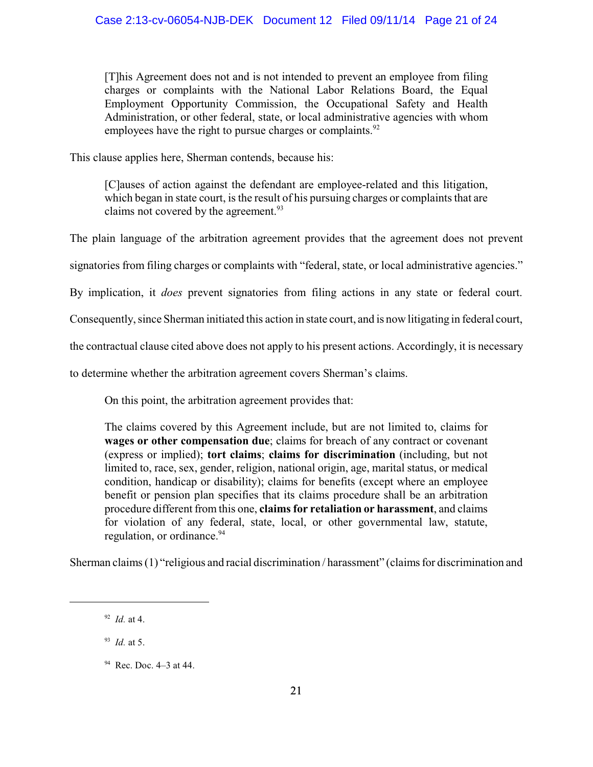[T]his Agreement does not and is not intended to prevent an employee from filing charges or complaints with the National Labor Relations Board, the Equal Employment Opportunity Commission, the Occupational Safety and Health Administration, or other federal, state, or local administrative agencies with whom employees have the right to pursue charges or complaints. $92$ 

This clause applies here, Sherman contends, because his:

[C]auses of action against the defendant are employee-related and this litigation, which began in state court, is the result of his pursuing charges or complaints that are claims not covered by the agreement.<sup>93</sup>

The plain language of the arbitration agreement provides that the agreement does not prevent

signatories from filing charges or complaints with "federal, state, or local administrative agencies."

By implication, it *does* prevent signatories from filing actions in any state or federal court.

Consequently, since Sherman initiated this action in state court, and is now litigating in federal court,

the contractual clause cited above does not apply to his present actions. Accordingly, it is necessary

to determine whether the arbitration agreement covers Sherman's claims.

On this point, the arbitration agreement provides that:

The claims covered by this Agreement include, but are not limited to, claims for **wages or other compensation due**; claims for breach of any contract or covenant (express or implied); **tort claims**; **claims for discrimination** (including, but not limited to, race, sex, gender, religion, national origin, age, marital status, or medical condition, handicap or disability); claims for benefits (except where an employee benefit or pension plan specifies that its claims procedure shall be an arbitration procedure different from this one, **claims for retaliation or harassment**, and claims for violation of any federal, state, local, or other governmental law, statute, regulation, or ordinance.<sup>94</sup>

Sherman claims (1) "religious and racial discrimination / harassment" (claims for discrimination and

93 *Id.* at 5.

<sup>92</sup> *Id.* at 4.

<sup>94</sup> Rec. Doc. 4–3 at 44.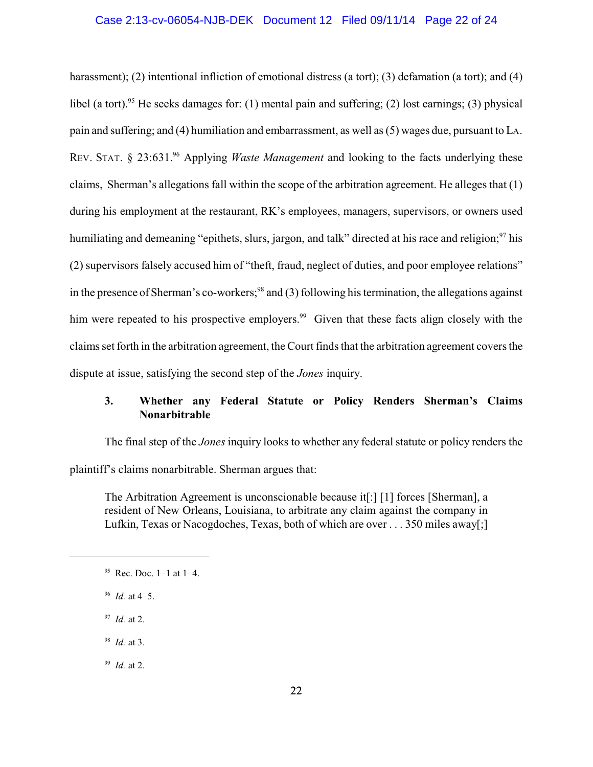#### Case 2:13-cv-06054-NJB-DEK Document 12 Filed 09/11/14 Page 22 of 24

harassment); (2) intentional infliction of emotional distress (a tort); (3) defamation (a tort); and (4) libel (a tort).<sup>95</sup> He seeks damages for: (1) mental pain and suffering; (2) lost earnings; (3) physical pain and suffering; and (4) humiliation and embarrassment, as well as (5) wages due, pursuant to LA. REV. STAT. § 23:631.<sup>96</sup> Applying *Waste Management* and looking to the facts underlying these claims, Sherman's allegations fall within the scope of the arbitration agreement. He alleges that (1) during his employment at the restaurant, RK's employees, managers, supervisors, or owners used humiliating and demeaning "epithets, slurs, jargon, and talk" directed at his race and religion; <sup>97</sup> his (2) supervisors falsely accused him of "theft, fraud, neglect of duties, and poor employee relations" in the presence of Sherman's co-workers;<sup>98</sup> and (3) following his termination, the allegations against him were repeated to his prospective employers.<sup>99</sup> Given that these facts align closely with the claims set forth in the arbitration agreement, the Court finds that the arbitration agreement covers the dispute at issue, satisfying the second step of the *Jones* inquiry.

# **3. Whether any Federal Statute or Policy Renders Sherman's Claims Nonarbitrable**

The final step of the *Jones* inquiry looks to whether any federal statute or policy renders the plaintiff's claims nonarbitrable. Sherman argues that:

The Arbitration Agreement is unconscionable because it[:] [1] forces [Sherman], a resident of New Orleans, Louisiana, to arbitrate any claim against the company in Lufkin, Texas or Nacogdoches, Texas, both of which are over . . . 350 miles away[;]

- 96 *Id.* at 4–5.
- 97 *Id.* at 2.
- 98 *Id.* at 3.
- 99 *Id.* at 2.

 $95$  Rec. Doc. 1–1 at 1–4.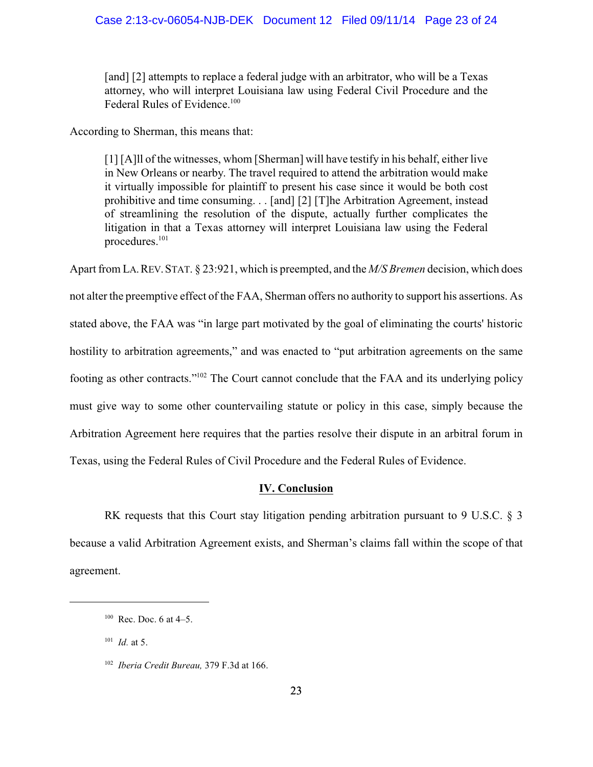[and] [2] attempts to replace a federal judge with an arbitrator, who will be a Texas attorney, who will interpret Louisiana law using Federal Civil Procedure and the Federal Rules of Evidence.<sup>100</sup>

According to Sherman, this means that:

[1] [A]ll of the witnesses, whom [Sherman] will have testify in his behalf, either live in New Orleans or nearby. The travel required to attend the arbitration would make it virtually impossible for plaintiff to present his case since it would be both cost prohibitive and time consuming. . . [and] [2] [T]he Arbitration Agreement, instead of streamlining the resolution of the dispute, actually further complicates the litigation in that a Texas attorney will interpret Louisiana law using the Federal procedures.<sup>101</sup>

Apart from LA.REV.STAT. § 23:921, which is preempted, and the *M/S Bremen* decision, which does not alter the preemptive effect of the FAA, Sherman offers no authority to support his assertions. As stated above, the FAA was "in large part motivated by the goal of eliminating the courts' historic hostility to arbitration agreements," and was enacted to "put arbitration agreements on the same footing as other contracts."<sup>102</sup> The Court cannot conclude that the FAA and its underlying policy must give way to some other countervailing statute or policy in this case, simply because the Arbitration Agreement here requires that the parties resolve their dispute in an arbitral forum in Texas, using the Federal Rules of Civil Procedure and the Federal Rules of Evidence.

### **IV. Conclusion**

RK requests that this Court stay litigation pending arbitration pursuant to 9 U.S.C. § 3 because a valid Arbitration Agreement exists, and Sherman's claims fall within the scope of that agreement.

101 *Id.* at 5.

 $100 \text{ Rec. Doc.} 6 \text{ at } 4-5.$ 

<sup>102</sup> *Iberia Credit Bureau,* 379 F.3d at 166.